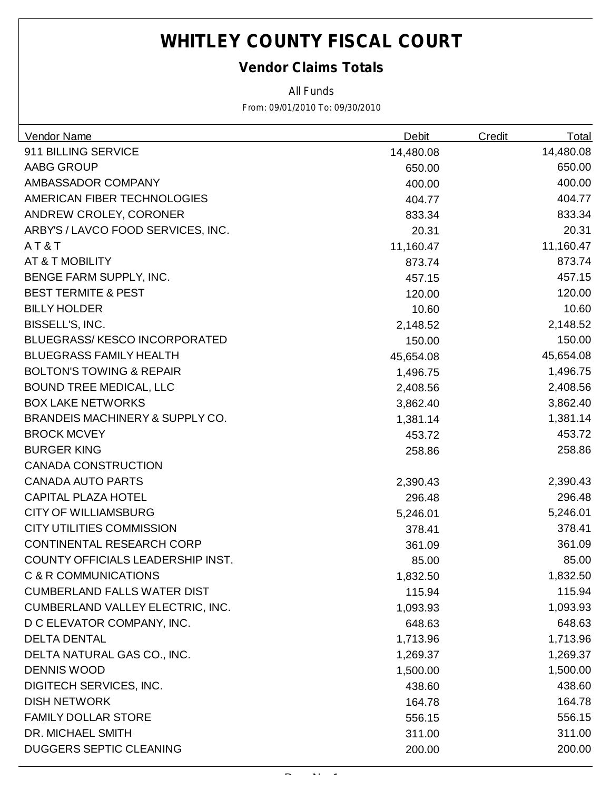### *Vendor Claims Totals*

*All Funds*

| <b>Vendor Name</b>                         | <b>Debit</b> | Credit | <b>Total</b> |
|--------------------------------------------|--------------|--------|--------------|
| 911 BILLING SERVICE                        | 14,480.08    |        | 14,480.08    |
| AABG GROUP                                 | 650.00       |        | 650.00       |
| AMBASSADOR COMPANY                         | 400.00       |        | 400.00       |
| AMERICAN FIBER TECHNOLOGIES                | 404.77       |        | 404.77       |
| ANDREW CROLEY, CORONER                     | 833.34       |        | 833.34       |
| ARBY'S / LAVCO FOOD SERVICES, INC.         | 20.31        |        | 20.31        |
| AT&T                                       | 11,160.47    |        | 11,160.47    |
| AT & T MOBILITY                            | 873.74       |        | 873.74       |
| BENGE FARM SUPPLY, INC.                    | 457.15       |        | 457.15       |
| <b>BEST TERMITE &amp; PEST</b>             | 120.00       |        | 120.00       |
| <b>BILLY HOLDER</b>                        | 10.60        |        | 10.60        |
| BISSELL'S, INC.                            | 2,148.52     |        | 2,148.52     |
| <b>BLUEGRASS/KESCO INCORPORATED</b>        | 150.00       |        | 150.00       |
| <b>BLUEGRASS FAMILY HEALTH</b>             | 45,654.08    |        | 45,654.08    |
| <b>BOLTON'S TOWING &amp; REPAIR</b>        | 1,496.75     |        | 1,496.75     |
| <b>BOUND TREE MEDICAL, LLC</b>             | 2,408.56     |        | 2,408.56     |
| <b>BOX LAKE NETWORKS</b>                   | 3,862.40     |        | 3,862.40     |
| <b>BRANDEIS MACHINERY &amp; SUPPLY CO.</b> | 1,381.14     |        | 1,381.14     |
| <b>BROCK MCVEY</b>                         | 453.72       |        | 453.72       |
| <b>BURGER KING</b>                         | 258.86       |        | 258.86       |
| <b>CANADA CONSTRUCTION</b>                 |              |        |              |
| <b>CANADA AUTO PARTS</b>                   | 2,390.43     |        | 2,390.43     |
| <b>CAPITAL PLAZA HOTEL</b>                 | 296.48       |        | 296.48       |
| <b>CITY OF WILLIAMSBURG</b>                | 5,246.01     |        | 5,246.01     |
| <b>CITY UTILITIES COMMISSION</b>           | 378.41       |        | 378.41       |
| CONTINENTAL RESEARCH CORP                  | 361.09       |        | 361.09       |
| COUNTY OFFICIALS LEADERSHIP INST.          | 85.00        |        | 85.00        |
| C & R COMMUNICATIONS                       | 1,832.50     |        | 1,832.50     |
| <b>CUMBERLAND FALLS WATER DIST</b>         | 115.94       |        | 115.94       |
| CUMBERLAND VALLEY ELECTRIC, INC.           | 1,093.93     |        | 1,093.93     |
| D C ELEVATOR COMPANY, INC.                 | 648.63       |        | 648.63       |
| <b>DELTA DENTAL</b>                        | 1,713.96     |        | 1,713.96     |
| DELTA NATURAL GAS CO., INC.                | 1,269.37     |        | 1,269.37     |
| <b>DENNIS WOOD</b>                         | 1,500.00     |        | 1,500.00     |
| <b>DIGITECH SERVICES, INC.</b>             | 438.60       |        | 438.60       |
| <b>DISH NETWORK</b>                        | 164.78       |        | 164.78       |
| <b>FAMILY DOLLAR STORE</b>                 | 556.15       |        | 556.15       |
| DR. MICHAEL SMITH                          | 311.00       |        | 311.00       |
| <b>DUGGERS SEPTIC CLEANING</b>             | 200.00       |        | 200.00       |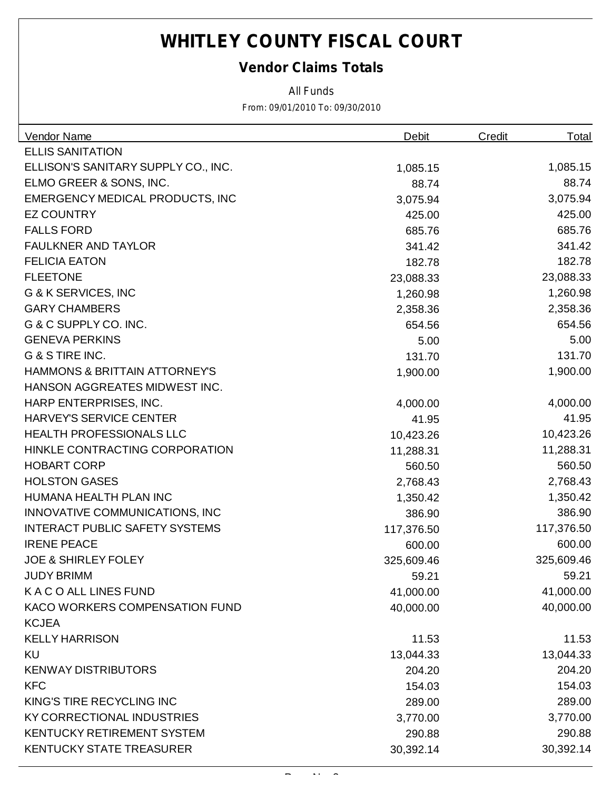### *Vendor Claims Totals*

*All Funds*

| <b>Vendor Name</b>                       | <b>Debit</b> | <b>Total</b><br><b>Credit</b> |
|------------------------------------------|--------------|-------------------------------|
| <b>ELLIS SANITATION</b>                  |              |                               |
| ELLISON'S SANITARY SUPPLY CO., INC.      | 1,085.15     | 1,085.15                      |
| ELMO GREER & SONS, INC.                  | 88.74        | 88.74                         |
| <b>EMERGENCY MEDICAL PRODUCTS, INC</b>   | 3,075.94     | 3,075.94                      |
| <b>EZ COUNTRY</b>                        | 425.00       | 425.00                        |
| <b>FALLS FORD</b>                        | 685.76       | 685.76                        |
| <b>FAULKNER AND TAYLOR</b>               | 341.42       | 341.42                        |
| <b>FELICIA EATON</b>                     | 182.78       | 182.78                        |
| <b>FLEETONE</b>                          | 23,088.33    | 23,088.33                     |
| G & K SERVICES, INC                      | 1,260.98     | 1,260.98                      |
| <b>GARY CHAMBERS</b>                     | 2,358.36     | 2,358.36                      |
| G & C SUPPLY CO. INC.                    | 654.56       | 654.56                        |
| <b>GENEVA PERKINS</b>                    | 5.00         | 5.00                          |
| G & S TIRE INC.                          | 131.70       | 131.70                        |
| <b>HAMMONS &amp; BRITTAIN ATTORNEY'S</b> | 1,900.00     | 1,900.00                      |
| HANSON AGGREATES MIDWEST INC.            |              |                               |
| HARP ENTERPRISES, INC.                   | 4,000.00     | 4,000.00                      |
| <b>HARVEY'S SERVICE CENTER</b>           | 41.95        | 41.95                         |
| <b>HEALTH PROFESSIONALS LLC</b>          | 10,423.26    | 10,423.26                     |
| HINKLE CONTRACTING CORPORATION           | 11,288.31    | 11,288.31                     |
| <b>HOBART CORP</b>                       | 560.50       | 560.50                        |
| <b>HOLSTON GASES</b>                     | 2,768.43     | 2,768.43                      |
| HUMANA HEALTH PLAN INC                   | 1,350.42     | 1,350.42                      |
| INNOVATIVE COMMUNICATIONS, INC           | 386.90       | 386.90                        |
| <b>INTERACT PUBLIC SAFETY SYSTEMS</b>    | 117,376.50   | 117,376.50                    |
| <b>IRENE PEACE</b>                       | 600.00       | 600.00                        |
| <b>JOE &amp; SHIRLEY FOLEY</b>           | 325,609.46   | 325,609.46                    |
| <b>JUDY BRIMM</b>                        | 59.21        | 59.21                         |
| K A C O ALL LINES FUND                   | 41,000.00    | 41,000.00                     |
| KACO WORKERS COMPENSATION FUND           | 40,000.00    | 40,000.00                     |
| <b>KCJEA</b>                             |              |                               |
| <b>KELLY HARRISON</b>                    | 11.53        | 11.53                         |
| <b>KU</b>                                | 13,044.33    | 13,044.33                     |
| <b>KENWAY DISTRIBUTORS</b>               | 204.20       | 204.20                        |
| <b>KFC</b>                               | 154.03       | 154.03                        |
| KING'S TIRE RECYCLING INC                | 289.00       | 289.00                        |
| <b>KY CORRECTIONAL INDUSTRIES</b>        | 3,770.00     | 3,770.00                      |
| <b>KENTUCKY RETIREMENT SYSTEM</b>        | 290.88       | 290.88                        |
| <b>KENTUCKY STATE TREASURER</b>          | 30,392.14    | 30,392.14                     |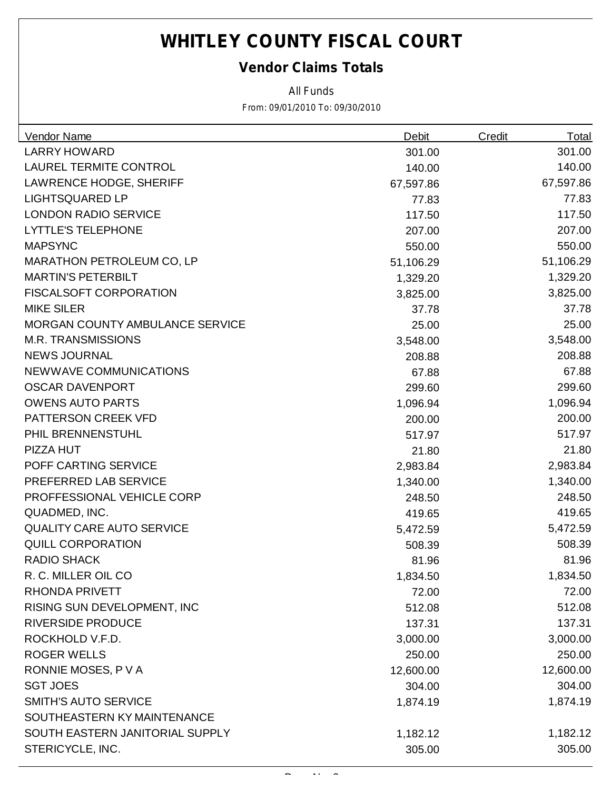### *Vendor Claims Totals*

*All Funds*

| Vendor Name                      | <b>Debit</b> | <b>Credit</b> | <b>Total</b> |
|----------------------------------|--------------|---------------|--------------|
| <b>LARRY HOWARD</b>              | 301.00       |               | 301.00       |
| <b>LAUREL TERMITE CONTROL</b>    | 140.00       |               | 140.00       |
| <b>LAWRENCE HODGE, SHERIFF</b>   | 67,597.86    |               | 67,597.86    |
| <b>LIGHTSQUARED LP</b>           | 77.83        |               | 77.83        |
| <b>LONDON RADIO SERVICE</b>      | 117.50       |               | 117.50       |
| <b>LYTTLE'S TELEPHONE</b>        | 207.00       |               | 207.00       |
| <b>MAPSYNC</b>                   | 550.00       |               | 550.00       |
| <b>MARATHON PETROLEUM CO, LP</b> | 51,106.29    |               | 51,106.29    |
| <b>MARTIN'S PETERBILT</b>        | 1,329.20     |               | 1,329.20     |
| <b>FISCALSOFT CORPORATION</b>    | 3,825.00     |               | 3,825.00     |
| <b>MIKE SILER</b>                | 37.78        |               | 37.78        |
| MORGAN COUNTY AMBULANCE SERVICE  | 25.00        |               | 25.00        |
| <b>M.R. TRANSMISSIONS</b>        | 3,548.00     |               | 3,548.00     |
| <b>NEWS JOURNAL</b>              | 208.88       |               | 208.88       |
| NEWWAVE COMMUNICATIONS           | 67.88        |               | 67.88        |
| <b>OSCAR DAVENPORT</b>           | 299.60       |               | 299.60       |
| <b>OWENS AUTO PARTS</b>          | 1,096.94     |               | 1,096.94     |
| PATTERSON CREEK VFD              | 200.00       |               | 200.00       |
| PHIL BRENNENSTUHL                | 517.97       |               | 517.97       |
| PIZZA HUT                        | 21.80        |               | 21.80        |
| POFF CARTING SERVICE             | 2,983.84     |               | 2,983.84     |
| PREFERRED LAB SERVICE            | 1,340.00     |               | 1,340.00     |
| PROFFESSIONAL VEHICLE CORP       | 248.50       |               | 248.50       |
| QUADMED, INC.                    | 419.65       |               | 419.65       |
| <b>QUALITY CARE AUTO SERVICE</b> | 5,472.59     |               | 5,472.59     |
| <b>QUILL CORPORATION</b>         | 508.39       |               | 508.39       |
| <b>RADIO SHACK</b>               | 81.96        |               | 81.96        |
| R. C. MILLER OIL CO              | 1,834.50     |               | 1,834.50     |
| <b>RHONDA PRIVETT</b>            | 72.00        |               | 72.00        |
| RISING SUN DEVELOPMENT, INC      | 512.08       |               | 512.08       |
| <b>RIVERSIDE PRODUCE</b>         | 137.31       |               | 137.31       |
| ROCKHOLD V.F.D.                  | 3,000.00     |               | 3,000.00     |
| <b>ROGER WELLS</b>               | 250.00       |               | 250.00       |
| RONNIE MOSES, P V A              | 12,600.00    |               | 12,600.00    |
| <b>SGT JOES</b>                  | 304.00       |               | 304.00       |
| <b>SMITH'S AUTO SERVICE</b>      | 1,874.19     |               | 1,874.19     |
| SOUTHEASTERN KY MAINTENANCE      |              |               |              |
| SOUTH EASTERN JANITORIAL SUPPLY  | 1,182.12     |               | 1,182.12     |
| STERICYCLE, INC.                 | 305.00       |               | 305.00       |